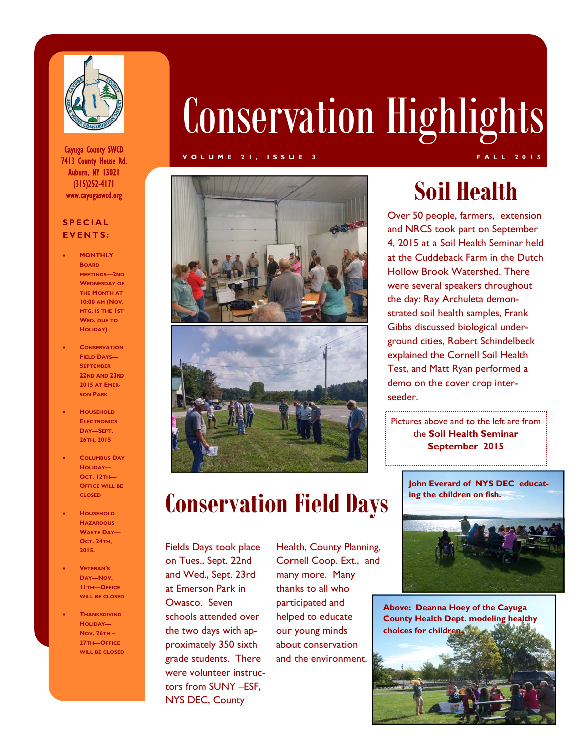

Cayuga County SWCD 7413 County House Rd. Auburn, NY 13021 (315)252-4171

### **SPECIAL EVENTS:**

- **MONTHLY BOARD MEETINGS—2ND WEDNESDAY OF THE MONTH AT 10:00 AM (NOV. MTG. IS THE 1ST WED. DUE TO HOLIDAY)**
- **CONSERVATION FIELD DAYS— SEPTEMBER 22ND AND 23RD 2015 AT EMER-SON PARK**
- **HOUSEHOLD ELECTRONICS DAY—SEPT. 26TH, 2015**
- **COLUMBUS DAY HOLIDAY— OCT. 12TH— OFFICE WILL BE CLOSED**
- **HOUSEHOLD HAZARDOUS WASTE DAY— OCT. 24TH, 2015.**
- **VETERAN'S DAY—NOV. 11TH—OFFICE WILL BE CLOSED**
- **THANKSGIVING HOLIDAY— NOV. 26TH – 27TH—OFFICE WILL BE CLOSED**

# Conservation Highlights

### **VOLUME 21, ISSUE 3 FALL 2015**





# **Conservation Field Days**

Fields Days took place on Tues., Sept. 22nd and Wed., Sept. 23rd at Emerson Park in Owasco. Seven schools attended over the two days with approximately 350 sixth grade students. There were volunteer instructors from SUNY –ESF, NYS DEC, County

Health, County Planning, Cornell Coop. Ext., and many more. Many thanks to all who participated and helped to educate our young minds about conservation and the environment.

Over 50 people, farmers, extension and NRCS took part on September 4, 2015 at a Soil Health Seminar held at the Cuddeback Farm in the Dutch Hollow Brook Watershed. There were several speakers throughout the day: Ray Archuleta demonstrated soil health samples, Frank Gibbs discussed biological underground cities, Robert Schindelbeck explained the Cornell Soil Health Test, and Matt Ryan performed a demo on the cover crop interseeder.

Pictures above and to the left are from the **Soil Health Seminar September 2015**

**John Everard of NYS DEC educating the children on fish.** 



**Above: Deanna Hoey of the Cayuga County Health Dept. modeling healthy choices for children.**